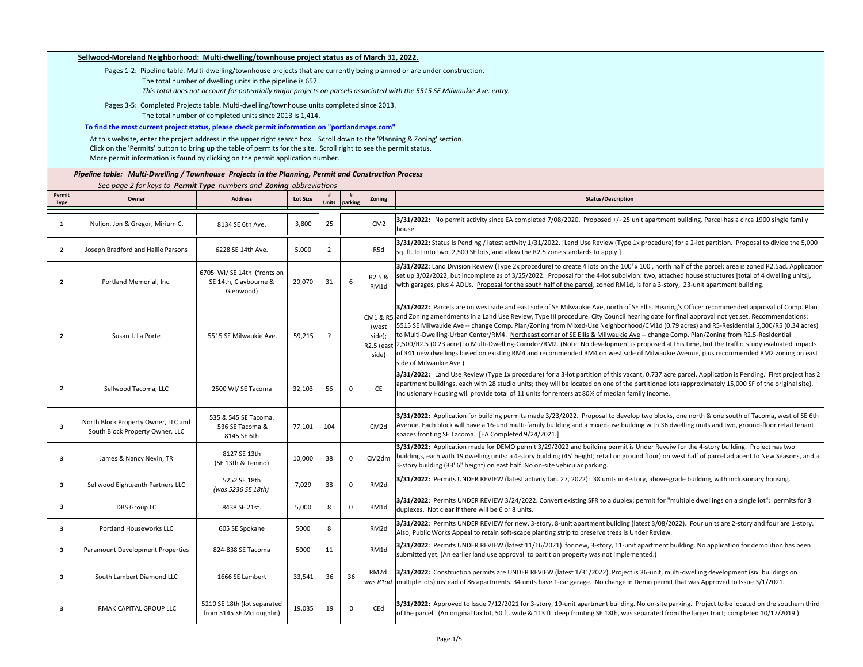| Sellwood-Moreland Neighborhood: Multi-dwelling/townhouse project status as of March 31, 2022. |                                                                                                                                                                                                                                                                                                                                    |                                                                   |                 |                |              |                                        |                                                                                                                                                                                                                                                                                                                                                                                                                                                                                                                                                                                                                                                                                                                                                                                                                                                                                                              |  |  |  |  |  |
|-----------------------------------------------------------------------------------------------|------------------------------------------------------------------------------------------------------------------------------------------------------------------------------------------------------------------------------------------------------------------------------------------------------------------------------------|-------------------------------------------------------------------|-----------------|----------------|--------------|----------------------------------------|--------------------------------------------------------------------------------------------------------------------------------------------------------------------------------------------------------------------------------------------------------------------------------------------------------------------------------------------------------------------------------------------------------------------------------------------------------------------------------------------------------------------------------------------------------------------------------------------------------------------------------------------------------------------------------------------------------------------------------------------------------------------------------------------------------------------------------------------------------------------------------------------------------------|--|--|--|--|--|
|                                                                                               | Pages 1-2: Pipeline table. Multi-dwelling/townhouse projects that are currently being planned or are under construction.<br>The total number of dwelling units in the pipeline is 657.<br>This total does not account for potentially major projects on parcels associated with the 5515 SE Milwaukie Ave. entry.                  |                                                                   |                 |                |              |                                        |                                                                                                                                                                                                                                                                                                                                                                                                                                                                                                                                                                                                                                                                                                                                                                                                                                                                                                              |  |  |  |  |  |
|                                                                                               | Pages 3-5: Completed Projects table. Multi-dwelling/townhouse units completed since 2013.                                                                                                                                                                                                                                          |                                                                   |                 |                |              |                                        |                                                                                                                                                                                                                                                                                                                                                                                                                                                                                                                                                                                                                                                                                                                                                                                                                                                                                                              |  |  |  |  |  |
|                                                                                               | The total number of completed units since 2013 is 1,414.                                                                                                                                                                                                                                                                           |                                                                   |                 |                |              |                                        |                                                                                                                                                                                                                                                                                                                                                                                                                                                                                                                                                                                                                                                                                                                                                                                                                                                                                                              |  |  |  |  |  |
|                                                                                               | To find the most current project status, please check permit information on "portlandmaps.com"                                                                                                                                                                                                                                     |                                                                   |                 |                |              |                                        |                                                                                                                                                                                                                                                                                                                                                                                                                                                                                                                                                                                                                                                                                                                                                                                                                                                                                                              |  |  |  |  |  |
|                                                                                               | At this website, enter the project address in the upper right search box. Scroll down to the 'Planning & Zoning' section.<br>Click on the 'Permits' button to bring up the table of permits for the site. Scroll right to see the permit status.<br>More permit information is found by clicking on the permit application number. |                                                                   |                 |                |              |                                        |                                                                                                                                                                                                                                                                                                                                                                                                                                                                                                                                                                                                                                                                                                                                                                                                                                                                                                              |  |  |  |  |  |
|                                                                                               | Pipeline table: Multi-Dwelling / Townhouse Projects in the Planning, Permit and Construction Process                                                                                                                                                                                                                               |                                                                   |                 |                |              |                                        |                                                                                                                                                                                                                                                                                                                                                                                                                                                                                                                                                                                                                                                                                                                                                                                                                                                                                                              |  |  |  |  |  |
|                                                                                               | See page 2 for keys to Permit Type numbers and Zoning abbreviations                                                                                                                                                                                                                                                                |                                                                   |                 |                |              |                                        |                                                                                                                                                                                                                                                                                                                                                                                                                                                                                                                                                                                                                                                                                                                                                                                                                                                                                                              |  |  |  |  |  |
| Permit<br><b>Type</b>                                                                         | Owner                                                                                                                                                                                                                                                                                                                              | <b>Address</b>                                                    | <b>Lot Size</b> | Units          | #<br>parking | Zoning                                 | <b>Status/Description</b>                                                                                                                                                                                                                                                                                                                                                                                                                                                                                                                                                                                                                                                                                                                                                                                                                                                                                    |  |  |  |  |  |
| 1                                                                                             | Nuljon, Jon & Gregor, Mirium C.                                                                                                                                                                                                                                                                                                    | 8134 SE 6th Ave.                                                  | 3,800           | 25             |              | CM <sub>2</sub>                        | 3/31/2022: No permit activity since EA completed 7/08/2020. Proposed +/-25 unit apartment building. Parcel has a circa 1900 single family<br>house.                                                                                                                                                                                                                                                                                                                                                                                                                                                                                                                                                                                                                                                                                                                                                          |  |  |  |  |  |
| $\overline{2}$                                                                                | Joseph Bradford and Hallie Parsons                                                                                                                                                                                                                                                                                                 | 6228 SE 14th Ave.                                                 | 5,000           | $\overline{2}$ |              | R5d                                    | 3/31/2022: Status is Pending / latest activity 1/31/2022. [Land Use Review (Type 1x procedure) for a 2-lot partition. Proposal to divide the 5,000<br>sq. ft. lot into two, 2,500 SF lots, and allow the R2.5 zone standards to apply.]                                                                                                                                                                                                                                                                                                                                                                                                                                                                                                                                                                                                                                                                      |  |  |  |  |  |
| $\overline{2}$                                                                                | Portland Memorial, Inc.                                                                                                                                                                                                                                                                                                            | 6705 WI/ SE 14th (fronts on<br>SE 14th, Claybourne &<br>Glenwood) | 20,070          | 31             | -6           | R2.5 &<br>RM1d                         | 3/31/2022: Land Division Review (Type 2x procedure) to create 4 lots on the 100' x 100', north half of the parcel; area is zoned R2.5ad. Application<br>set up 3/02/2022, but incomplete as of 3/25/2022. Proposal for the 4-lot subdivion: two, attached house structures [total of 4 dwelling units],<br>with garages, plus 4 ADUs. Proposal for the south half of the parcel, zoned RM1d, is for a 3-story, 23-unit apartment building.                                                                                                                                                                                                                                                                                                                                                                                                                                                                   |  |  |  |  |  |
| $\overline{2}$                                                                                | Susan J. La Porte                                                                                                                                                                                                                                                                                                                  | 5515 SE Milwaukie Ave.                                            | 59,215          | $\overline{?}$ |              | (west<br>side);<br>R2.5 (east<br>side) | 3/31/2022: Parcels are on west side and east side of SE Milwaukie Ave, north of SE Ellis. Hearing's Officer recommended approval of Comp. Plan<br>CM1 & R5 and Zoning amendments in a Land Use Review, Type III procedure. City Council hearing date for final approval not yet set. Recommendations:<br>5515 SE Milwaukie Ave -- change Comp. Plan/Zoning from Mixed-Use Neighborhood/CM1d (0.79 acres) and R5-Residential 5,000/R5 (0.34 acres)<br>to Multi-Dwelling-Urban Center/RM4. Northeast corner of SE Ellis & Milwaukie Ave -- change Comp. Plan/Zoning from R2.5-Residential<br>2,500/R2.5 (0.23 acre) to Multi-Dwelling-Corridor/RM2. (Note: No development is proposed at this time, but the traffic study evaluated impacts<br>of 341 new dwellings based on existing RM4 and recommended RM4 on west side of Milwaukie Avenue, plus recommended RM2 zoning on east<br>side of Milwaukie Ave.) |  |  |  |  |  |
| $\overline{2}$                                                                                | Sellwood Tacoma, LLC                                                                                                                                                                                                                                                                                                               | 2500 WI/ SE Tacoma                                                | 32,103          | 56             | 0            | CE                                     | 3/31/2022: Land Use Review (Type 1x procedure) for a 3-lot partition of this vacant, 0.737 acre parcel. Application is Pending. First project has 2<br>apartment buildings, each with 28 studio units; they will be located on one of the partitioned lots (approximately 15,000 SF of the original site).<br>Inclusionary Housing will provide total of 11 units for renters at 80% of median family income.                                                                                                                                                                                                                                                                                                                                                                                                                                                                                                |  |  |  |  |  |
| 3                                                                                             | North Block Property Owner, LLC and<br>South Block Property Owner, LLC                                                                                                                                                                                                                                                             | 535 & 545 SE Tacoma.<br>536 SE Tacoma &<br>8145 SE 6th            | 77,101          | 104            |              | CM <sub>2d</sub>                       | 3/31/2022: Application for building permits made 3/23/2022. Proposal to develop two blocks, one north & one south of Tacoma, west of SE 6th<br>Avenue. Each block will have a 16-unit multi-family building and a mixed-use building with 36 dwelling units and two, ground-floor retail tenant<br>spaces fronting SE Tacoma. [EA Completed 9/24/2021.]                                                                                                                                                                                                                                                                                                                                                                                                                                                                                                                                                      |  |  |  |  |  |
| 3                                                                                             | James & Nancy Nevin, TR                                                                                                                                                                                                                                                                                                            | 8127 SE 13th<br>(SE 13th & Tenino)                                | 10,000          | 38             | $^{\circ}$   | CM2dm                                  | 3/31/2022: Application made for DEMO permit 3/29/2022 and building permit is Under Reveiw for the 4-story building. Project has two<br>buildings, each with 19 dwelling units: a 4-story building (45' height; retail on ground floor) on west half of parcel adjacent to New Seasons, and a<br>3-story building (33' 6" height) on east half. No on-site vehicular parking.                                                                                                                                                                                                                                                                                                                                                                                                                                                                                                                                 |  |  |  |  |  |
| 3                                                                                             | Sellwood Eighteenth Partners LLC                                                                                                                                                                                                                                                                                                   | 5252 SE 18th<br>(was 5236 SE 18th)                                | 7,029           | 38             | $\mathbf 0$  | RM2d                                   | 3/31/2022: Permits UNDER REVIEW (latest activity Jan. 27, 2022): 38 units in 4-story, above-grade building, with inclusionary housing.                                                                                                                                                                                                                                                                                                                                                                                                                                                                                                                                                                                                                                                                                                                                                                       |  |  |  |  |  |
| 3                                                                                             | DBS Group LC                                                                                                                                                                                                                                                                                                                       | 8438 SE 21st.                                                     | 5,000           | 8              | $\mathbf 0$  | RM1d                                   | 3/31/2022: Permits UNDER REVIEW 3/24/2022. Convert existing SFR to a duplex; permit for "multiple dwellings on a single lot"; permits for 3<br>duplexes. Not clear if there will be 6 or 8 units.                                                                                                                                                                                                                                                                                                                                                                                                                                                                                                                                                                                                                                                                                                            |  |  |  |  |  |
| 3                                                                                             | Portland Houseworks LLC                                                                                                                                                                                                                                                                                                            | 605 SE Spokane                                                    | 5000            | 8              |              | RM <sub>2d</sub>                       | 3/31/2022: Permits UNDER REVIEW for new, 3-story, 8-unit apartment building (latest 3/08/2022). Four units are 2-story and four are 1-story.<br>Also, Public Works Appeal to retain soft-scape planting strip to preserve trees is Under Review.                                                                                                                                                                                                                                                                                                                                                                                                                                                                                                                                                                                                                                                             |  |  |  |  |  |
| 3                                                                                             | Paramount Development Properties                                                                                                                                                                                                                                                                                                   | 824-838 SE Tacoma                                                 | 5000            | 11             |              | RM1d                                   | 3/31/2022: Permits UNDER REVIEW (latest 11/16/2021) for new, 3-story, 11-unit apartment building. No application for demolition has been<br>submitted yet. (An earlier land use approval to partition property was not implemented.)                                                                                                                                                                                                                                                                                                                                                                                                                                                                                                                                                                                                                                                                         |  |  |  |  |  |
| 3                                                                                             | South Lambert Diamond LLC                                                                                                                                                                                                                                                                                                          | 1666 SE Lambert                                                   | 33,541          | 36             | 36           | RM2d<br>was R1ad                       | 3/31/2022: Construction permits are UNDER REVIEW (latest 1/31/2022). Project is 36-unit, multi-dwelling development (six buildings on<br>Imultiple lots) instead of 86 apartments. 34 units have 1-car garage. No change in Demo permit that was Approved to Issue 3/1/2021.                                                                                                                                                                                                                                                                                                                                                                                                                                                                                                                                                                                                                                 |  |  |  |  |  |
| 3                                                                                             | RMAK CAPITAL GROUP LLC                                                                                                                                                                                                                                                                                                             | 5210 SE 18th (lot separated<br>from 5145 SE McLoughlin)           | 19,035          | 19             | 0            | CEd                                    | 3/31/2022: Approved to Issue 7/12/2021 for 3-story, 19-unit apartment building. No on-site parking. Project to be located on the southern third<br>of the parcel. (An original tax lot, 50 ft. wide & 113 ft. deep fronting SE 18th, was separated from the larger tract; completed 10/17/2019.)                                                                                                                                                                                                                                                                                                                                                                                                                                                                                                                                                                                                             |  |  |  |  |  |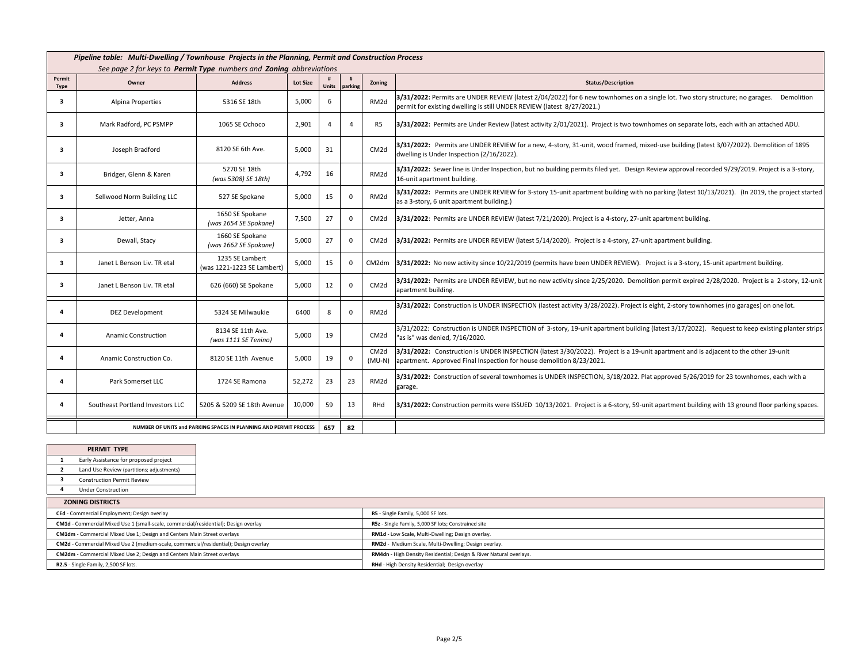|                         | Pipeline table: Multi-Dwelling / Townhouse Projects in the Planning, Permit and Construction Process<br>See page 2 for keys to Permit Type numbers and Zoning abbreviations |                                               |                 |                |                |                            |                                                                                                                                                                                                                   |  |  |  |
|-------------------------|-----------------------------------------------------------------------------------------------------------------------------------------------------------------------------|-----------------------------------------------|-----------------|----------------|----------------|----------------------------|-------------------------------------------------------------------------------------------------------------------------------------------------------------------------------------------------------------------|--|--|--|
| Permit<br><b>Type</b>   | Owner                                                                                                                                                                       | <b>Address</b>                                | <b>Lot Size</b> | Units          | #<br>parking   | Zoning                     | <b>Status/Description</b>                                                                                                                                                                                         |  |  |  |
| 3                       | Alpina Properties                                                                                                                                                           | 5316 SE 18th                                  | 5,000           | 6              |                | RM <sub>2d</sub>           | 3/31/2022: Permits are UNDER REVIEW (latest 2/04/2022) for 6 new townhomes on a single lot. Two story structure; no garages. Demolition<br>permit for existing dwelling is still UNDER REVIEW (latest 8/27/2021.) |  |  |  |
| 3                       | Mark Radford, PC PSMPP                                                                                                                                                      | 1065 SE Ochoco                                | 2,901           | $\overline{a}$ | $\overline{4}$ | R5                         | 3/31/2022: Permits are Under Review (latest activity 2/01/2021). Project is two townhomes on separate lots, each with an attached ADU.                                                                            |  |  |  |
| 3                       | Joseph Bradford                                                                                                                                                             | 8120 SE 6th Ave.                              | 5,000           | 31             |                | CM <sub>2d</sub>           | 3/31/2022: Permits are UNDER REVIEW for a new, 4-story, 31-unit, wood framed, mixed-use building (latest 3/07/2022). Demolition of 1895<br>dwelling is Under Inspection (2/16/2022).                              |  |  |  |
| $\mathbf{3}$            | Bridger, Glenn & Karen                                                                                                                                                      | 5270 SE 18th<br>(was 5308) SE 18th)           | 4,792           | 16             |                | RM <sub>2d</sub>           | 3/31/2022: Sewer line is Under Inspection, but no building permits filed yet. Design Review approval recorded 9/29/2019. Project is a 3-story,<br>16-unit apartment building.                                     |  |  |  |
| 3                       | Sellwood Norm Building LLC                                                                                                                                                  | 527 SE Spokane                                | 5,000           | 15             | $\mathbf 0$    | RM <sub>2d</sub>           | 3/31/2022: Permits are UNDER REVIEW for 3-story 15-unit apartment building with no parking (latest 10/13/2021). (In 2019, the project started<br>as a 3-story, 6 unit apartment building.)                        |  |  |  |
| $\overline{\mathbf{3}}$ | Jetter, Anna                                                                                                                                                                | 1650 SE Spokane<br>(was 1654 SE Spokane)      | 7,500           | 27             | $\Omega$       | CM <sub>2d</sub>           | 3/31/2022: Permits are UNDER REVIEW (latest 7/21/2020). Project is a 4-story, 27-unit apartment building.                                                                                                         |  |  |  |
| 3                       | Dewall, Stacy                                                                                                                                                               | 1660 SE Spokane<br>(was 1662 SE Spokane)      | 5,000           | 27             | $\mathbf 0$    | CM <sub>2d</sub>           | 3/31/2022: Permits are UNDER REVIEW (latest 5/14/2020). Project is a 4-story, 27-unit apartment building.                                                                                                         |  |  |  |
| 3                       | Janet L Benson Liv. TR etal                                                                                                                                                 | 1235 SE Lambert<br>(was 1221-1223 SE Lambert) | 5,000           | 15             | $\mathbf 0$    |                            | CM2dm 3/31/2022: No new activity since 10/22/2019 (permits have been UNDER REVIEW). Project is a 3-story, 15-unit apartment building.                                                                             |  |  |  |
| $\mathbf{3}$            | Janet L Benson Liv. TR etal                                                                                                                                                 | 626 (660) SE Spokane                          | 5,000           | 12             | $\Omega$       | CM <sub>2d</sub>           | 3/31/2022: Permits are UNDER REVIEW, but no new activity since 2/25/2020. Demolition permit expired 2/28/2020. Project is a 2-story, 12-unit<br>apartment building.                                               |  |  |  |
| Δ                       | <b>DEZ Development</b>                                                                                                                                                      | 5324 SE Milwaukie                             | 6400            | 8              | $\Omega$       | RM2d                       | 3/31/2022: Construction is UNDER INSPECTION (lastest activity 3/28/2022). Project is eight, 2-story townhomes (no garages) on one lot.                                                                            |  |  |  |
| 4                       | <b>Anamic Construction</b>                                                                                                                                                  | 8134 SE 11th Ave.<br>(was 1111 SE Tenino)     | 5,000           | 19             |                | CM <sub>2d</sub>           | 3/31/2022: Construction is UNDER INSPECTION of 3-story, 19-unit apartment building (latest 3/17/2022). Request to keep existing planter strips<br>"as is" was denied, 7/16/2020.                                  |  |  |  |
| 4                       | Anamic Construction Co.                                                                                                                                                     | 8120 SE 11th Avenue                           | 5,000           | 19             | $\mathbf 0$    | CM <sub>2d</sub><br>(MU-N) | 3/31/2022: Construction is UNDER INSPECTION (latest 3/30/2022). Project is a 19-unit apartment and is adjacent to the other 19-unit<br>apartment. Approved Final Inspection for house demolition 8/23/2021.       |  |  |  |
| 4                       | Park Somerset LLC                                                                                                                                                           | 1724 SE Ramona                                | 52,272          | 23             | 23             | RM <sub>2d</sub>           | 3/31/2022: Construction of several townhomes is UNDER INSPECTION, 3/18/2022. Plat approved 5/26/2019 for 23 townhomes, each with a<br>garage.                                                                     |  |  |  |
|                         | Southeast Portland Investors LLC                                                                                                                                            | 5205 & 5209 SE 18th Avenue                    | 10,000          | 59             | 13             | RHd                        | 3/31/2022: Construction permits were ISSUED 10/13/2021. Project is a 6-story, 59-unit apartment building with 13 ground floor parking spaces.                                                                     |  |  |  |
|                         | NUMBER OF UNITS and PARKING SPACES IN PLANNING AND PERMIT PROCESS                                                                                                           |                                               |                 |                |                |                            |                                                                                                                                                                                                                   |  |  |  |

| <b>PERMIT TYPE</b>                             |                                       |  |  |  |  |  |  |  |
|------------------------------------------------|---------------------------------------|--|--|--|--|--|--|--|
|                                                |                                       |  |  |  |  |  |  |  |
| 1                                              | Early Assistance for proposed project |  |  |  |  |  |  |  |
| 2<br>Land Use Review (partitions; adjustments) |                                       |  |  |  |  |  |  |  |
| 3<br><b>Construction Permit Review</b>         |                                       |  |  |  |  |  |  |  |
|                                                | <b>Under Construction</b>             |  |  |  |  |  |  |  |
| <b>ZONING DISTRICTS</b>                        |                                       |  |  |  |  |  |  |  |
| CEd - Commercial Employment; Design overlay    |                                       |  |  |  |  |  |  |  |
|                                                |                                       |  |  |  |  |  |  |  |

| LUNING DISINICIS                                                                     |                                                                    |  |  |  |  |
|--------------------------------------------------------------------------------------|--------------------------------------------------------------------|--|--|--|--|
| CEd - Commercial Employment; Design overlay                                          | R5 - Single Family, 5,000 SF lots.                                 |  |  |  |  |
| CM1d - Commercial Mixed Use 1 (small-scale, commercial/residential); Design overlay  | R5z - Single Family, 5,000 SF lots; Constrained site               |  |  |  |  |
| CM1dm - Commercial Mixed Use 1; Design and Centers Main Street overlays              | RM1d - Low Scale, Multi-Dwelling; Design overlay.                  |  |  |  |  |
| CM2d - Commercial Mixed Use 2 (medium-scale, commercial/residential); Design overlay | RM2d - Medium Scale, Multi-Dwelling; Design overlay.               |  |  |  |  |
| CM2dm - Commercial Mixed Use 2; Design and Centers Main Street overlays              | RM4dn - High Density Residential; Design & River Natural overlays. |  |  |  |  |
| R2.5 - Single Family, 2,500 SF lots.                                                 | RHd - High Density Residential; Design overlay                     |  |  |  |  |
|                                                                                      |                                                                    |  |  |  |  |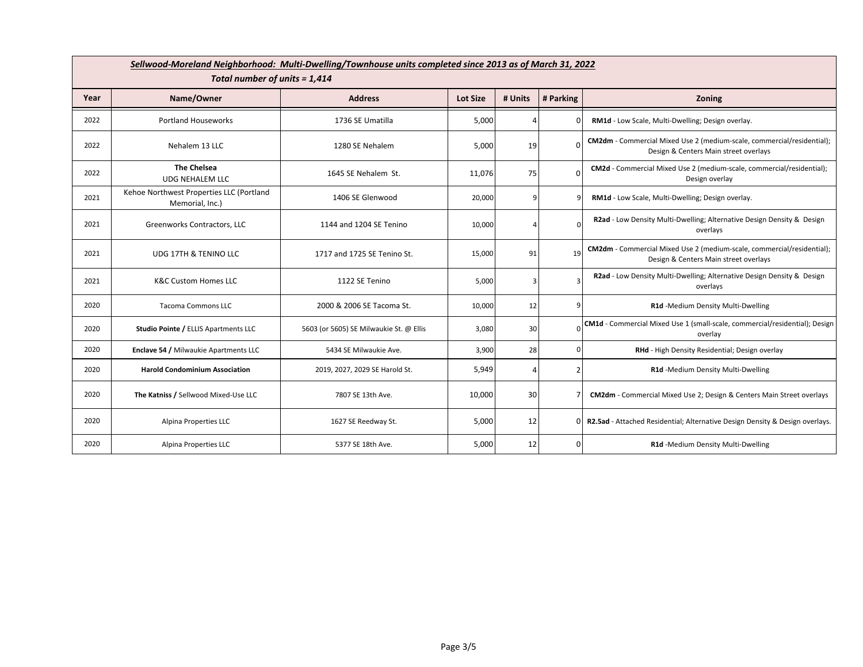|      | Sellwood-Moreland Neighborhood: Multi-Dwelling/Townhouse units completed since 2013 as of March 31, 2022<br>Total number of units = 1,414 |                                         |                 |         |                |                                                                                                                 |  |  |  |  |
|------|-------------------------------------------------------------------------------------------------------------------------------------------|-----------------------------------------|-----------------|---------|----------------|-----------------------------------------------------------------------------------------------------------------|--|--|--|--|
| Year | Name/Owner                                                                                                                                | <b>Address</b>                          | <b>Lot Size</b> | # Units | # Parking      | Zoning                                                                                                          |  |  |  |  |
| 2022 | <b>Portland Houseworks</b>                                                                                                                | 1736 SE Umatilla                        | 5,000           |         |                | RM1d - Low Scale, Multi-Dwelling; Design overlay.                                                               |  |  |  |  |
| 2022 | Nehalem 13 LLC                                                                                                                            | 1280 SE Nehalem                         | 5,000           | 19      |                | CM2dm - Commercial Mixed Use 2 (medium-scale, commercial/residential);<br>Design & Centers Main street overlays |  |  |  |  |
| 2022 | <b>The Chelsea</b><br><b>UDG NEHALEM LLC</b>                                                                                              | 1645 SE Nehalem St.                     | 11,076          | 75      | $\Omega$       | CM2d - Commercial Mixed Use 2 (medium-scale, commercial/residential);<br>Design overlay                         |  |  |  |  |
| 2021 | Kehoe Northwest Properties LLC (Portland<br>Memorial, Inc.)                                                                               | 1406 SE Glenwood                        | 20,000          | q       | q              | RM1d - Low Scale, Multi-Dwelling; Design overlay.                                                               |  |  |  |  |
| 2021 | Greenworks Contractors, LLC                                                                                                               | 1144 and 1204 SE Tenino                 | 10,000          |         | $\Omega$       | R2ad - Low Density Multi-Dwelling; Alternative Design Density & Design<br>overlays                              |  |  |  |  |
| 2021 | <b>UDG 17TH &amp; TENINO LLC</b>                                                                                                          | 1717 and 1725 SE Tenino St.             | 15,000          | 91      | 19             | CM2dm - Commercial Mixed Use 2 (medium-scale, commercial/residential);<br>Design & Centers Main street overlays |  |  |  |  |
| 2021 | <b>K&amp;C Custom Homes LLC</b>                                                                                                           | 1122 SE Tenino                          | 5,000           | з       | 3              | R2ad - Low Density Multi-Dwelling; Alternative Design Density & Design<br>overlays                              |  |  |  |  |
| 2020 | <b>Tacoma Commons LLC</b>                                                                                                                 | 2000 & 2006 SE Tacoma St.               | 10,000          | 12      | q              | R1d -Medium Density Multi-Dwelling                                                                              |  |  |  |  |
| 2020 | Studio Pointe / ELLIS Apartments LLC                                                                                                      | 5603 (or 5605) SE Milwaukie St. @ Ellis | 3,080           | 30      |                | CM1d - Commercial Mixed Use 1 (small-scale, commercial/residential); Design<br>overlay                          |  |  |  |  |
| 2020 | Enclave 54 / Milwaukie Apartments LLC                                                                                                     | 5434 SE Milwaukie Ave.                  | 3,900           | 28      | $\Omega$       | RHd - High Density Residential; Design overlay                                                                  |  |  |  |  |
| 2020 | <b>Harold Condominium Association</b>                                                                                                     | 2019, 2027, 2029 SE Harold St.          | 5,949           | Δ       | $\overline{2}$ | R1d -Medium Density Multi-Dwelling                                                                              |  |  |  |  |
| 2020 | The Katniss / Sellwood Mixed-Use LLC                                                                                                      | 7807 SE 13th Ave.                       | 10,000          | 30      | 7              | <b>CM2dm</b> - Commercial Mixed Use 2; Design & Centers Main Street overlays                                    |  |  |  |  |
| 2020 | Alpina Properties LLC                                                                                                                     | 1627 SE Reedway St.                     | 5,000           | 12      | ΩI             | R2.5ad - Attached Residential; Alternative Design Density & Design overlays.                                    |  |  |  |  |
| 2020 | Alpina Properties LLC                                                                                                                     | 5377 SE 18th Ave.                       | 5,000           | 12      | 0              | R1d -Medium Density Multi-Dwelling                                                                              |  |  |  |  |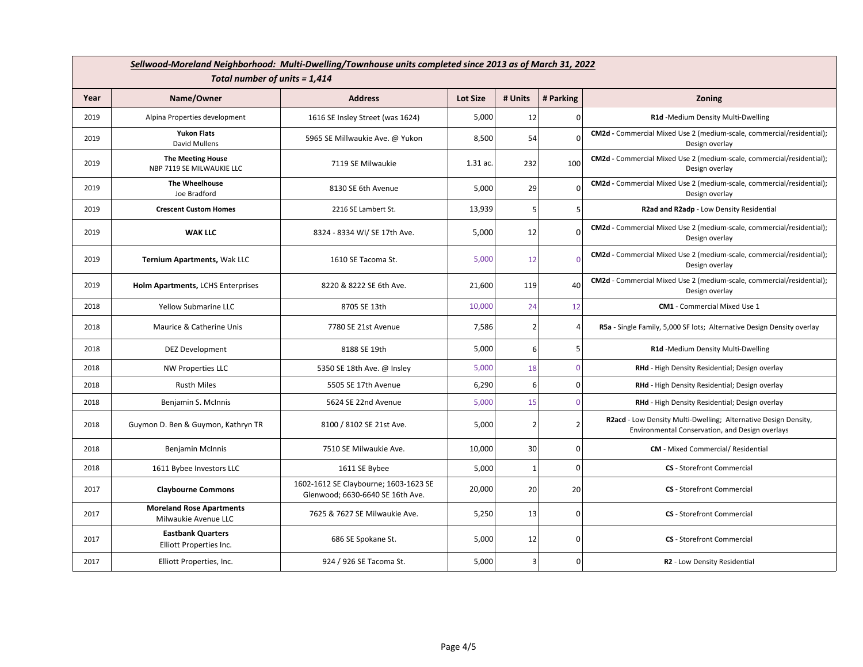|      | Sellwood-Moreland Neighborhood: Multi-Dwelling/Townhouse units completed since 2013 as of March 31, 2022 |                                                                           |                 |                |              |                                                                                                                    |  |  |  |  |  |
|------|----------------------------------------------------------------------------------------------------------|---------------------------------------------------------------------------|-----------------|----------------|--------------|--------------------------------------------------------------------------------------------------------------------|--|--|--|--|--|
|      | Total number of units = 1,414                                                                            |                                                                           |                 |                |              |                                                                                                                    |  |  |  |  |  |
| Year | Name/Owner                                                                                               | <b>Address</b>                                                            | <b>Lot Size</b> | # Units        | # Parking    | Zoning                                                                                                             |  |  |  |  |  |
| 2019 | Alpina Properties development                                                                            | 1616 SE Insley Street (was 1624)                                          | 5,000           | 12             | $\Omega$     | R1d -Medium Density Multi-Dwelling                                                                                 |  |  |  |  |  |
| 2019 | <b>Yukon Flats</b><br><b>David Mullens</b>                                                               | 5965 SE Millwaukie Ave. @ Yukon                                           | 8,500           | 54             | O            | CM2d - Commercial Mixed Use 2 (medium-scale, commercial/residential);<br>Design overlay                            |  |  |  |  |  |
| 2019 | <b>The Meeting House</b><br>NBP 7119 SE MILWAUKIE LLC                                                    | 7119 SE Milwaukie                                                         | 1.31 ac.        | 232            | 100          | CM2d - Commercial Mixed Use 2 (medium-scale, commercial/residential);<br>Design overlay                            |  |  |  |  |  |
| 2019 | The Wheelhouse<br>Joe Bradford                                                                           | 8130 SE 6th Avenue                                                        | 5,000           | 29             | O            | CM2d - Commercial Mixed Use 2 (medium-scale, commercial/residential);<br>Design overlay                            |  |  |  |  |  |
| 2019 | <b>Crescent Custom Homes</b>                                                                             | 2216 SE Lambert St.                                                       | 13,939          | 5              | 5            | R2ad and R2adp - Low Density Residential                                                                           |  |  |  |  |  |
| 2019 | <b>WAK LLC</b>                                                                                           | 8324 - 8334 WI/ SE 17th Ave.                                              | 5,000           | 12             | 0            | CM2d - Commercial Mixed Use 2 (medium-scale, commercial/residential);<br>Design overlay                            |  |  |  |  |  |
| 2019 | Ternium Apartments, Wak LLC                                                                              | 1610 SE Tacoma St.                                                        | 5,000           | 12             |              | CM2d - Commercial Mixed Use 2 (medium-scale, commercial/residential);<br>Design overlay                            |  |  |  |  |  |
| 2019 | Holm Apartments, LCHS Enterprises                                                                        | 8220 & 8222 SE 6th Ave.                                                   | 21,600          | 119            | 40           | CM2d - Commercial Mixed Use 2 (medium-scale, commercial/residential);<br>Design overlay                            |  |  |  |  |  |
| 2018 | <b>Yellow Submarine LLC</b>                                                                              | 8705 SE 13th                                                              | 10,000          | 24             | 12           | <b>CM1</b> - Commercial Mixed Use 1                                                                                |  |  |  |  |  |
| 2018 | Maurice & Catherine Unis                                                                                 | 7780 SE 21st Avenue                                                       | 7,586           | $\overline{2}$ | 4            | R5a - Single Family, 5,000 SF lots; Alternative Design Density overlay                                             |  |  |  |  |  |
| 2018 | <b>DEZ Development</b>                                                                                   | 8188 SE 19th                                                              | 5,000           | 6              | 5            | R1d -Medium Density Multi-Dwelling                                                                                 |  |  |  |  |  |
| 2018 | <b>NW Properties LLC</b>                                                                                 | 5350 SE 18th Ave. @ Insley                                                | 5,000           | 18             | <sup>0</sup> | RHd - High Density Residential; Design overlay                                                                     |  |  |  |  |  |
| 2018 | <b>Rusth Miles</b>                                                                                       | 5505 SE 17th Avenue                                                       | 6,290           | 6              | ٥l           | RHd - High Density Residential; Design overlay                                                                     |  |  |  |  |  |
| 2018 | Benjamin S. McInnis                                                                                      | 5624 SE 22nd Avenue                                                       | 5,000           | 15             | $\Omega$     | RHd - High Density Residential; Design overlay                                                                     |  |  |  |  |  |
| 2018 | Guymon D. Ben & Guymon, Kathryn TR                                                                       | 8100 / 8102 SE 21st Ave.                                                  | 5,000           | $\overline{2}$ | 2            | R2acd - Low Density Multi-Dwelling; Alternative Design Density,<br>Environmental Conservation, and Design overlays |  |  |  |  |  |
| 2018 | <b>Benjamin McInnis</b>                                                                                  | 7510 SE Milwaukie Ave.                                                    | 10,000          | 30             | οI           | <b>CM</b> - Mixed Commercial/ Residential                                                                          |  |  |  |  |  |
| 2018 | 1611 Bybee Investors LLC                                                                                 | 1611 SE Bybee                                                             | 5,000           | $\mathbf{1}$   | οI           | <b>CS</b> - Storefront Commercial                                                                                  |  |  |  |  |  |
| 2017 | <b>Claybourne Commons</b>                                                                                | 1602-1612 SE Claybourne; 1603-1623 SE<br>Glenwood; 6630-6640 SE 16th Ave. | 20,000          | 20             | 20           | <b>CS</b> - Storefront Commercial                                                                                  |  |  |  |  |  |
| 2017 | <b>Moreland Rose Apartments</b><br>Milwaukie Avenue LLC                                                  | 7625 & 7627 SE Milwaukie Ave.                                             | 5,250           | 13             | $\Omega$     | <b>CS</b> - Storefront Commercial                                                                                  |  |  |  |  |  |
| 2017 | <b>Eastbank Quarters</b><br>Elliott Properties Inc.                                                      | 686 SE Spokane St.                                                        | 5,000           | 12             | ٥I           | <b>CS</b> - Storefront Commercial                                                                                  |  |  |  |  |  |
| 2017 | Elliott Properties, Inc.                                                                                 | 924 / 926 SE Tacoma St.                                                   | 5,000           | 3              | 0            | R2 - Low Density Residential                                                                                       |  |  |  |  |  |